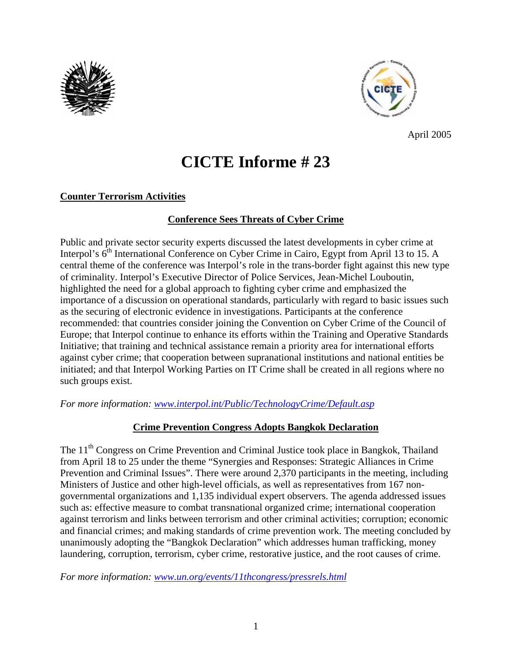



April 2005

# **CICTE Informe # 23**

# **Counter Terrorism Activities**

## **Conference Sees Threats of Cyber Crime**

Public and private sector security experts discussed the latest developments in cyber crime at Interpol's 6<sup>th</sup> International Conference on Cyber Crime in Cairo, Egypt from April 13 to 15. A central theme of the conference was Interpol's role in the trans-border fight against this new type of criminality. Interpol's Executive Director of Police Services, Jean-Michel Louboutin, highlighted the need for a global approach to fighting cyber crime and emphasized the importance of a discussion on operational standards, particularly with regard to basic issues such as the securing of electronic evidence in investigations. Participants at the conference recommended: that countries consider joining the Convention on Cyber Crime of the Council of Europe; that Interpol continue to enhance its efforts within the Training and Operative Standards Initiative; that training and technical assistance remain a priority area for international efforts against cyber crime; that cooperation between supranational institutions and national entities be initiated; and that Interpol Working Parties on IT Crime shall be created in all regions where no such groups exist.

*For more information: www.interpol.int/Public/TechnologyCrime/Default.asp* 

#### **Crime Prevention Congress Adopts Bangkok Declaration**

The 11<sup>th</sup> Congress on Crime Prevention and Criminal Justice took place in Bangkok, Thailand from April 18 to 25 under the theme "Synergies and Responses: Strategic Alliances in Crime Prevention and Criminal Issues". There were around 2,370 participants in the meeting, including Ministers of Justice and other high-level officials, as well as representatives from 167 nongovernmental organizations and 1,135 individual expert observers. The agenda addressed issues such as: effective measure to combat transnational organized crime; international cooperation against terrorism and links between terrorism and other criminal activities; corruption; economic and financial crimes; and making standards of crime prevention work. The meeting concluded by unanimously adopting the "Bangkok Declaration" which addresses human trafficking, money laundering, corruption, terrorism, cyber crime, restorative justice, and the root causes of crime.

*For more information: www.un.org/events/11thcongress/pressrels.html*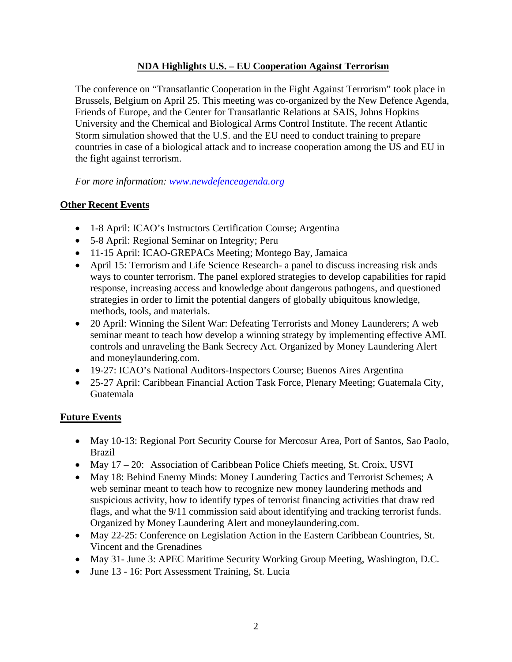#### **NDA Highlights U.S. – EU Cooperation Against Terrorism**

The conference on "Transatlantic Cooperation in the Fight Against Terrorism" took place in Brussels, Belgium on April 25. This meeting was co-organized by the New Defence Agenda, Friends of Europe, and the Center for Transatlantic Relations at SAIS, Johns Hopkins University and the Chemical and Biological Arms Control Institute. The recent Atlantic Storm simulation showed that the U.S. and the EU need to conduct training to prepare countries in case of a biological attack and to increase cooperation among the US and EU in the fight against terrorism.

*For more information: www.newdefenceagenda.org* 

## **Other Recent Events**

- 1-8 April: ICAO's Instructors Certification Course; Argentina
- 5-8 April: Regional Seminar on Integrity; Peru
- 11-15 April: ICAO-GREPACs Meeting; Montego Bay, Jamaica
- April 15: Terrorism and Life Science Research- a panel to discuss increasing risk ands ways to counter terrorism. The panel explored strategies to develop capabilities for rapid response, increasing access and knowledge about dangerous pathogens, and questioned strategies in order to limit the potential dangers of globally ubiquitous knowledge, methods, tools, and materials.
- 20 April: Winning the Silent War: Defeating Terrorists and Money Launderers; A web seminar meant to teach how develop a winning strategy by implementing effective AML controls and unraveling the Bank Secrecy Act. Organized by Money Laundering Alert and moneylaundering.com.
- 19-27: ICAO's National Auditors-Inspectors Course; Buenos Aires Argentina
- 25-27 April: Caribbean Financial Action Task Force, Plenary Meeting; Guatemala City, Guatemala

#### **Future Events**

- May 10-13: Regional Port Security Course for Mercosur Area, Port of Santos, Sao Paolo, Brazil
- May 17 20: Association of Caribbean Police Chiefs meeting, St. Croix, USVI
- May 18: Behind Enemy Minds: Money Laundering Tactics and Terrorist Schemes; A web seminar meant to teach how to recognize new money laundering methods and suspicious activity, how to identify types of terrorist financing activities that draw red flags, and what the 9/11 commission said about identifying and tracking terrorist funds. Organized by Money Laundering Alert and moneylaundering.com.
- May 22-25: Conference on Legislation Action in the Eastern Caribbean Countries, St. Vincent and the Grenadines
- May 31- June 3: APEC Maritime Security Working Group Meeting, Washington, D.C.
- June 13 16: Port Assessment Training, St. Lucia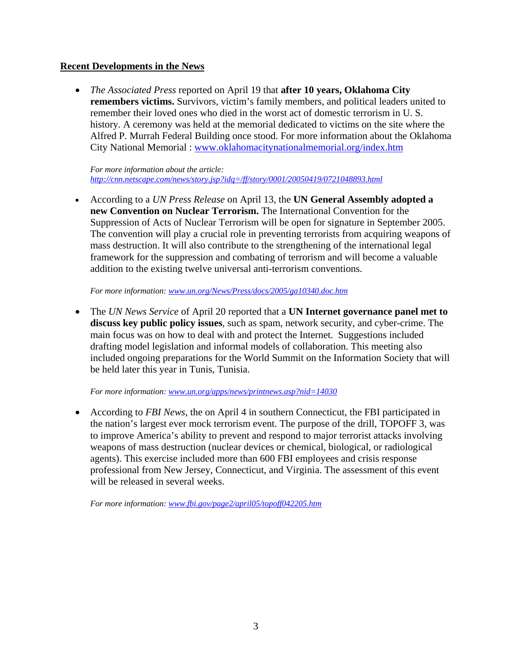#### **Recent Developments in the News**

• *The Associated Press* reported on April 19 that **after 10 years, Oklahoma City remembers victims.** Survivors, victim's family members, and political leaders united to remember their loved ones who died in the worst act of domestic terrorism in U. S. history. A ceremony was held at the memorial dedicated to victims on the site where the Alfred P. Murrah Federal Building once stood. For more information about the Oklahoma City National Memorial : www.oklahomacitynationalmemorial.org/index.htm

*For more information about the article: http://cnn.netscape.com/news/story.jsp?idq=/ff/story/0001/20050419/0721048893.html* 

• According to a *UN Press Release* on April 13, the **UN General Assembly adopted a new Convention on Nuclear Terrorism.** The International Convention for the Suppression of Acts of Nuclear Terrorism will be open for signature in September 2005. The convention will play a crucial role in preventing terrorists from acquiring weapons of mass destruction. It will also contribute to the strengthening of the international legal framework for the suppression and combating of terrorism and will become a valuable addition to the existing twelve universal anti-terrorism conventions.

*For more information: www.un.org/News/Press/docs/2005/ga10340.doc.htm* 

• The *UN News Service* of April 20 reported that a **UN Internet governance panel met to discuss key public policy issues**, such as spam, network security, and cyber-crime. The main focus was on how to deal with and protect the Internet. Suggestions included drafting model legislation and informal models of collaboration. This meeting also included ongoing preparations for the World Summit on the Information Society that will be held later this year in Tunis, Tunisia.

*For more information: www.un.org/apps/news/printnews.asp?nid=14030* 

• According to *FBI News*, the on April 4 in southern Connecticut, the FBI participated in the nation's largest ever mock terrorism event. The purpose of the drill, TOPOFF 3, was to improve America's ability to prevent and respond to major terrorist attacks involving weapons of mass destruction (nuclear devices or chemical, biological, or radiological agents). This exercise included more than 600 FBI employees and crisis response professional from New Jersey, Connecticut, and Virginia. The assessment of this event will be released in several weeks.

*For more information: www.fbi.gov/page2/april05/topoff042205.htm*